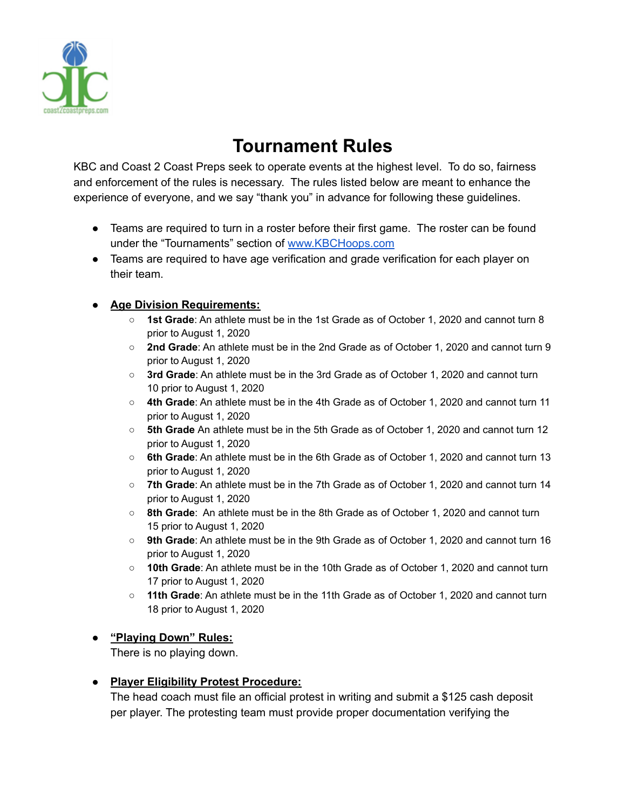

# **Tournament Rules**

KBC and Coast 2 Coast Preps seek to operate events at the highest level. To do so, fairness and enforcement of the rules is necessary. The rules listed below are meant to enhance the experience of everyone, and we say "thank you" in advance for following these guidelines.

- Teams are required to turn in a roster before their first game. The roster can be found under the "Tournaments" section of [www.KBCHoops.com](http://www.kbchoops.com)
- Teams are required to have age verification and grade verification for each player on their team.

#### **● Age Division Requirements:**

- **1st Grade**: An athlete must be in the 1st Grade as of October 1, 2020 and cannot turn 8 prior to August 1, 2020
- **2nd Grade**: An athlete must be in the 2nd Grade as of October 1, 2020 and cannot turn 9 prior to August 1, 2020
- **3rd Grade**: An athlete must be in the 3rd Grade as of October 1, 2020 and cannot turn 10 prior to August 1, 2020
- **4th Grade**: An athlete must be in the 4th Grade as of October 1, 2020 and cannot turn 11 prior to August 1, 2020
- **5th Grade** An athlete must be in the 5th Grade as of October 1, 2020 and cannot turn 12 prior to August 1, 2020
- **6th Grade**: An athlete must be in the 6th Grade as of October 1, 2020 and cannot turn 13 prior to August 1, 2020
- **7th Grade**: An athlete must be in the 7th Grade as of October 1, 2020 and cannot turn 14 prior to August 1, 2020
- **8th Grade**: An athlete must be in the 8th Grade as of October 1, 2020 and cannot turn 15 prior to August 1, 2020
- **9th Grade**: An athlete must be in the 9th Grade as of October 1, 2020 and cannot turn 16 prior to August 1, 2020
- **10th Grade**: An athlete must be in the 10th Grade as of October 1, 2020 and cannot turn 17 prior to August 1, 2020
- **11th Grade**: An athlete must be in the 11th Grade as of October 1, 2020 and cannot turn 18 prior to August 1, 2020

#### **● "Playing Down" Rules:**

There is no playing down.

#### **● Player Eligibility Protest Procedure:**

The head coach must file an official protest in writing and submit a \$125 cash deposit per player. The protesting team must provide proper documentation verifying the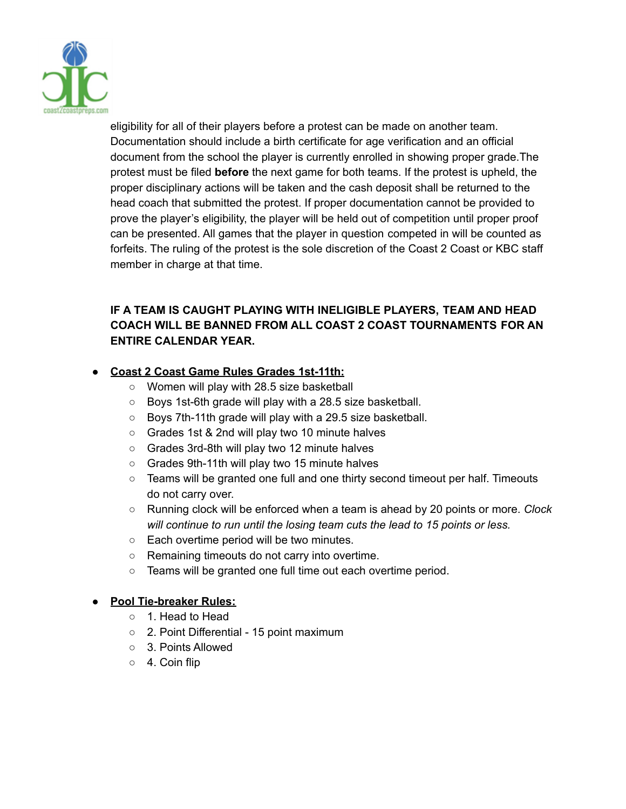

eligibility for all of their players before a protest can be made on another team. Documentation should include a birth certificate for age verification and an official document from the school the player is currently enrolled in showing proper grade.The protest must be filed **before** the next game for both teams. If the protest is upheld, the proper disciplinary actions will be taken and the cash deposit shall be returned to the head coach that submitted the protest. If proper documentation cannot be provided to prove the player's eligibility, the player will be held out of competition until proper proof can be presented. All games that the player in question competed in will be counted as forfeits. The ruling of the protest is the sole discretion of the Coast 2 Coast or KBC staff member in charge at that time.

## **IF A TEAM IS CAUGHT PLAYING WITH INELIGIBLE PLAYERS, TEAM AND HEAD COACH WILL BE BANNED FROM ALL COAST 2 COAST TOURNAMENTS FOR AN ENTIRE CALENDAR YEAR.**

### **● Coast 2 Coast Game Rules Grades 1st-11th:**

- Women will play with 28.5 size basketball
- Boys 1st-6th grade will play with a 28.5 size basketball.
- Boys 7th-11th grade will play with a 29.5 size basketball.
- Grades 1st & 2nd will play two 10 minute halves
- Grades 3rd-8th will play two 12 minute halves
- Grades 9th-11th will play two 15 minute halves
- Teams will be granted one full and one thirty second timeout per half. Timeouts do not carry over.
- Running clock will be enforced when a team is ahead by 20 points or more. *Clock will continue to run until the losing team cuts the lead to 15 points or less.*
- Each overtime period will be two minutes.
- Remaining timeouts do not carry into overtime.
- Teams will be granted one full time out each overtime period.

## **● Pool Tie-breaker Rules:**

- 1. Head to Head
- 2. Point Differential 15 point maximum
- 3. Points Allowed
- 4. Coin flip